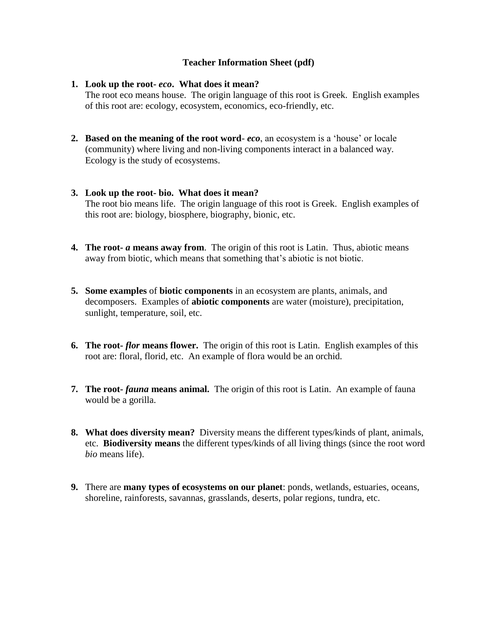## **Teacher Information Sheet (pdf)**

## **1. Look up the root-** *eco***. What does it mean?**

The root eco means house. The origin language of this root is Greek. English examples of this root are: ecology, ecosystem, economics, eco-friendly, etc.

**2. Based on the meaning of the root word**- *eco*, an ecosystem is a 'house' or locale (community) where living and non-living components interact in a balanced way. Ecology is the study of ecosystems.

## **3. Look up the root- bio. What does it mean?**

The root bio means life. The origin language of this root is Greek. English examples of this root are: biology, biosphere, biography, bionic, etc.

- **4. The root-** *a* **means away from**. The origin of this root is Latin. Thus, abiotic means away from biotic, which means that something that's abiotic is not biotic.
- **5. Some examples** of **biotic components** in an ecosystem are plants, animals, and decomposers. Examples of **abiotic components** are water (moisture), precipitation, sunlight, temperature, soil, etc.
- **6. The root-** *flor* **means flower.** The origin of this root is Latin. English examples of this root are: floral, florid, etc. An example of flora would be an orchid.
- **7. The root-** *fauna* **means animal.** The origin of this root is Latin. An example of fauna would be a gorilla.
- **8. What does diversity mean?** Diversity means the different types/kinds of plant, animals, etc. **Biodiversity means** the different types/kinds of all living things (since the root word *bio* means life).
- **9.** There are **many types of ecosystems on our planet**: ponds, wetlands, estuaries, oceans, shoreline, rainforests, savannas, grasslands, deserts, polar regions, tundra, etc.